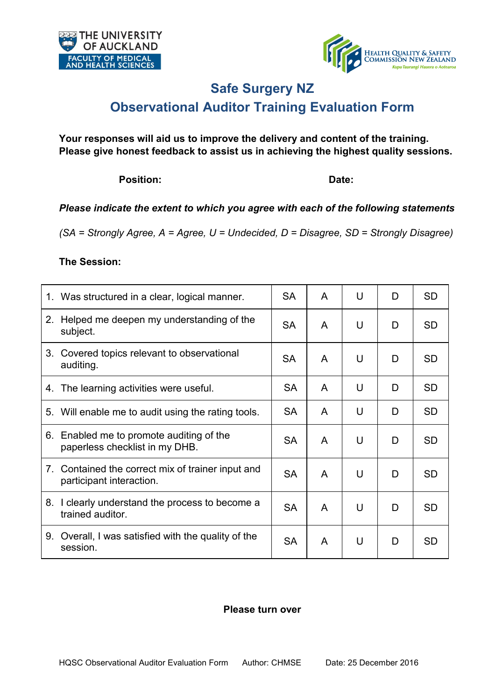



### **Safe Surgery NZ**

### **Observational Auditor Training Evaluation Form**

**Your responses will aid us to improve the delivery and content of the training. Please give honest feedback to assist us in achieving the highest quality sessions.** 

Position: **Date: Date: Date:** 

#### *Please indicate the extent to which you agree with each of the following statements*

*(SA = Strongly Agree, A = Agree, U = Undecided, D = Disagree, SD = Strongly Disagree)*

#### **The Session:**

| 1. Was structured in a clear, logical manner.                                 | <b>SA</b> | A | U | D | <b>SD</b> |
|-------------------------------------------------------------------------------|-----------|---|---|---|-----------|
| Helped me deepen my understanding of the<br>2.<br>subject.                    | <b>SA</b> | A | U | D | <b>SD</b> |
| 3. Covered topics relevant to observational<br>auditing.                      | <b>SA</b> | A | U | D | <b>SD</b> |
| 4. The learning activities were useful.                                       | <b>SA</b> | A | U | D | <b>SD</b> |
| 5. Will enable me to audit using the rating tools.                            | <b>SA</b> | A | U | D | <b>SD</b> |
| 6. Enabled me to promote auditing of the<br>paperless checklist in my DHB.    | <b>SA</b> | A | U | D | <b>SD</b> |
| 7. Contained the correct mix of trainer input and<br>participant interaction. | <b>SA</b> | A | U | D | <b>SD</b> |
| 8. I clearly understand the process to become a<br>trained auditor.           | <b>SA</b> | A | U | D | <b>SD</b> |
| 9. Overall, I was satisfied with the quality of the<br>session.               | <b>SA</b> | A | U | D | <b>SD</b> |

#### **Please turn over**